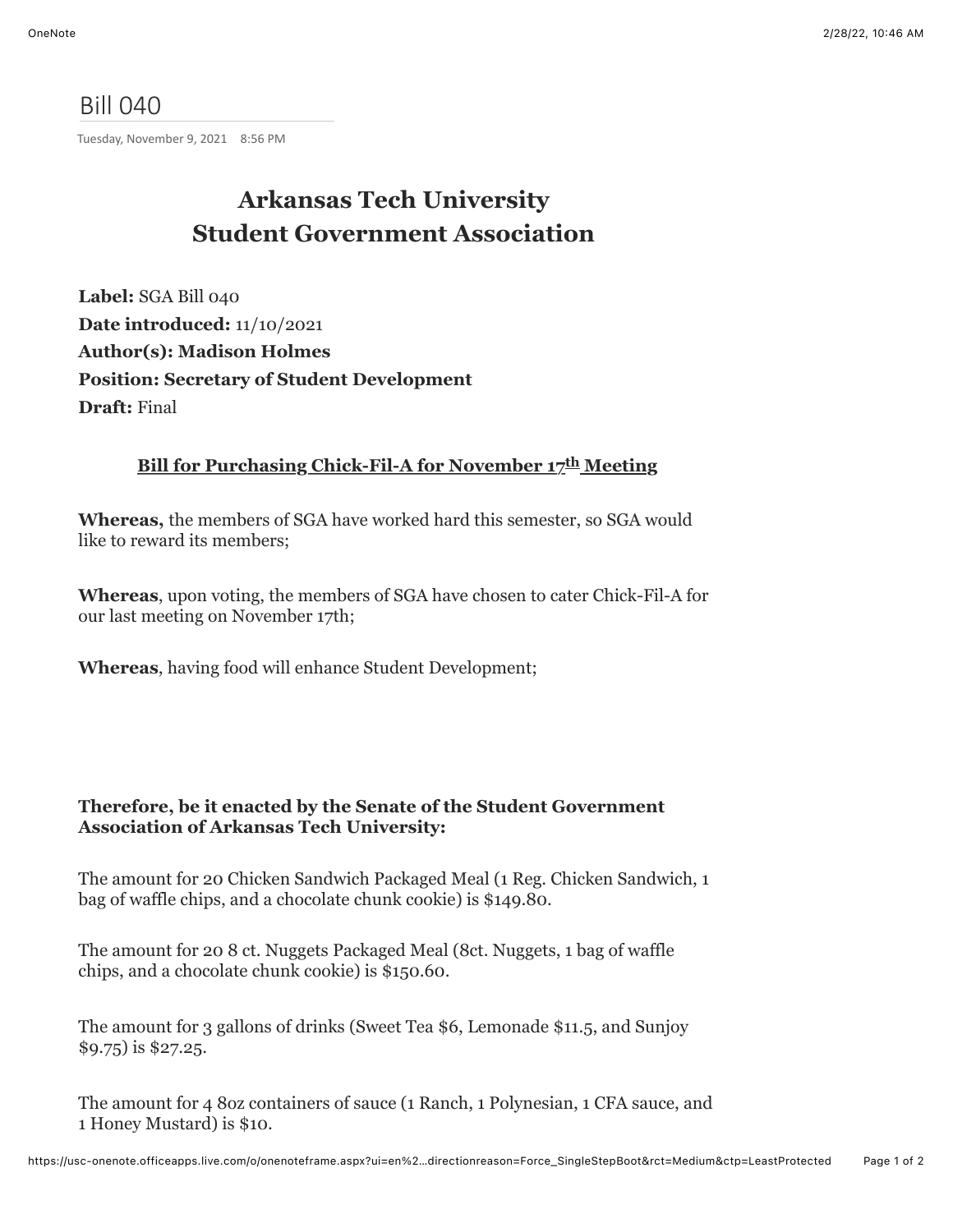## Bill 040

Tuesday, November 9, 2021 8:56 PM

## **Arkansas Tech University Student Government Association**

**Label:** SGA Bill 040 **Date introduced:** 11/10/2021 **Author(s): Madison Holmes Position: Secretary of Student Development Draft:** Final

## **Bill for Purchasing Chick-Fil-A for November 17th Meeting**

**Whereas,** the members of SGA have worked hard this semester, so SGA would like to reward its members;

**Whereas**, upon voting, the members of SGA have chosen to cater Chick-Fil-A for our last meeting on November 17th;

**Whereas**, having food will enhance Student Development;

## **Therefore, be it enacted by the Senate of the Student Government Association of Arkansas Tech University:**

The amount for 20 Chicken Sandwich Packaged Meal (1 Reg. Chicken Sandwich, 1 bag of waffle chips, and a chocolate chunk cookie) is \$149.80.

The amount for 20 8 ct. Nuggets Packaged Meal (8ct. Nuggets, 1 bag of waffle chips, and a chocolate chunk cookie) is \$150.60.

The amount for 3 gallons of drinks (Sweet Tea \$6, Lemonade \$11.5, and Sunjoy \$9.75) is \$27.25.

The amount for 4 8oz containers of sauce (1 Ranch, 1 Polynesian, 1 CFA sauce, and 1 Honey Mustard) is \$10.